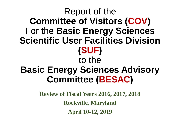#### Report of the **Committee of Visitors (COV)**  For the **Basic Energy Sciences Scientific User Facilities Division (SUF)** to the **Basic Energy Sciences Advisory Committee (BESAC)**

**Review of Fiscal Years 2016, 2017, 2018 Rockville, Maryland April 10-12, 2019**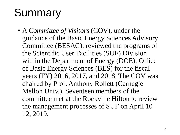# **Summary**

• A *Committee of Visitors* (COV), under the guidance of the Basic Energy Sciences Advisory Committee (BESAC), reviewed the programs of the Scientific User Facilities (SUF) Division within the Department of Energy (DOE), Office of Basic Energy Sciences (BES) for the fiscal years (FY) 2016, 2017, and 2018. The COV was chaired by Prof. Anthony Rollett (Carnegie Mellon Univ.). Seventeen members of the committee met at the Rockville Hilton to review the management processes of SUF on April 10- 12, 2019.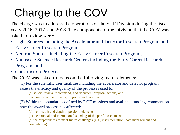# Charge to the COV

The charge was to address the operations of the SUF Division during the fiscal years 2016, 2017, and 2018. The components of the Division that the COV was asked to review were:

- Light Sources including the Accelerator and Detector Research Program and Early Career Research Program,
- Neutron Sources including the Early Career Research Program,
- Nanoscale Science Research Centers including the Early Career Research Program, and
- Construction Projects.

The COV was asked to focus on the following major elements:

(1) For the scientific user facilities including the accelerator and detector program, assess the efficacy and quality of the processes used to:

(a) solicit, review, recommend, and document proposal actions, and

(b) monitor active projects, programs and facilities.

(2) Within the boundaries defined by DOE missions and available funding, comment on how the award process has affected:

(a) the breadth and depth of portfolio elements

(b) the national and international standing of the portfolio elements

(c) the preparedness to meet future challenges (e.g., instrumentation, data management and computation).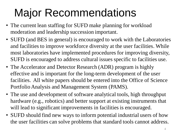## Major Recommendations

- The current lean staffing for SUFD make planning for workload moderation and leadership succession important.
- SUFD (and BES in general) is encouraged to work with the Laboratories and facilities to improve workforce diversity at the user facilities. While most laboratories have implemented procedures for improving diversity, SUFD is encouraged to address cultural issues specific to facilities use.
- The Accelerator and Detector Research (ADR) program is highly effective and is important for the long-term development of the user facilities. All white papers should be entered into the Office of Science Portfolio Analysis and Management System (PAMS).
- The use and development of software analytical tools, high throughput hardware (e.g., robotics) and better support at existing instruments that will lead to significant improvements in facilities is encouraged.
- SUFD should find new ways to inform potential industrial users of how the user facilities can solve problems that standard tools cannot address.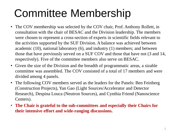## Committee Membership

- The COV membership was selected by the COV chair, Prof. Anthony Rollett, in consultation with the chair of BESAC and the Division leadership. The members were chosen to represent a cross-section of experts in scientific fields relevant to the activities supported by the SUF Division. A balance was achieved between academic (10), national laboratory (6), and industry (1) members; and between those that have previously served on a SUF COV and those that have not (3 and 14, respectively). Five of the committee members also serve on BESAC.
- Given the size of the Division and the breadth of programmatic areas, a sizable committee was assembled. The COV consisted of a total of 17 members and were divided among 4 panels.
- The following COV members served as the leaders for the Panels: Ben Feinberg (Construction Projects), Yan Gao (Light Sources/Accelerator and Detector Research), Despina Louca (Neutron Sources), and Cynthia Friend (Nanoscience Centers).
- **The Chair is grateful to the sub-committees and especially their Chairs for their intensive effort and wide-ranging discussions.**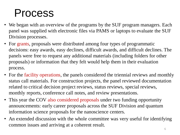#### Process

- We began with an overview of the programs by the SUF program managers. Each panel was supplied with electronic files via PAMS or laptops to evaluate the SUF Division processes.
- For grants, proposals were distributed among four types of programmatic decisions: easy awards, easy declines, difficult awards, and difficult declines. The panels were free to request any additional materials (including folders for other proposals) or information that they felt would help them in their evaluation process.
- For the facility operations, the panels considered the triennial reviews and monthly status call materials. For construction projects, the panel reviewed documentation related to critical decision project reviews, status reviews, special reviews, monthly reports, conference call notes, and review presentations.
- This year the COV also considered proposals under two funding opportunity announcements: early career proposals across the SUF Division and quantum information science proposals for the nanoscience centers.
- An extended discussion with the whole committee was very useful for identifying common issues and arriving at a coherent result.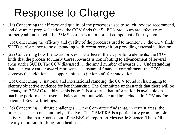## Response to Charge

- (1a) Concerning the efficacy and quality of the processes used to solicit, review, recommend, and document proposal actions, the COV finds that SUFD's processes are effective and properly administered. The PAMS system is an important component of the system …
- (1b) Concerning the efficacy and quality of the processes used to monitor ..., the COV finds SUFD performance to be outstanding with recent recognition providing external validation.
- (2a) Concerning how the award process has affected the … portfolio elements, the COV finds that the process for Early Career Awards is contributing to advancement of several areas under SUFD. The COV discussed … the small number of awards … Understanding that each early career award represents a substantial financial commitment, the COV suggests that additional … opportunities to junior staff for innovation.
- (2b) Concerning … national and international standing, the COV found it challenging to identify objective evidence for benchmarking. The Committee understands that there will be a charge to BESAC to address this issue. It is also true that information is available on machine performance, user statistics and output, which could be included in COV and/or Triennial Review briefings.
- (2c) Concerning … future challenges …, the Committee finds that, in certain areas, the process has been outstandingly effective. The CAMERA is a particularly promising joint activity …that partly arises out of the BESAC report on Mesoscale Science. The ADR … is clearly important for long-term health …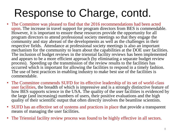## Response to Charge, contd.

- The Committee was pleased to find that the 2016 recommendations had been acted upon. The increase in travel support for program directors from BES is commendable. However, it is important to ensure these resources provide the opportunity for all program directors to attend professional society meetings so that they engage the community and stay abreast of the developments as well as the challenges in their respective fields. Attendance at professional society meetings is also an important mechanism for the community to learn about the capabilities at the DOE user facilities. The inclusion of budget reviews in the triennial facility reviews has been implemented and appears to be a more efficient approach (by eliminating a separate budget review process). Speeding up the transmission of the review results to the facilities has occurred which is important for allowing the facilities to respond in a timely fashion. The use of best practices in enabling industry to make best use of the facilities is commendable.
- The Committee commends SUFD for its effective leadership of its set of world-class user facilities, the breadth of which is impressive and is a strongly distinctive feature of how BES supports science in the USA. The quality of the user facilities is evidenced by the large (and increasing) numbers of users, their positive evaluations and the high quality of their scientific output that often directly involves the beamline scientists.
- SUFD has an effective set of systems and practices in place that provide a transparent means of managing the user facilities.
- The Triennial facility review process was found to be highly effective in all sectors.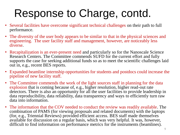## Response to Charge, contd.

- Several facilities have overcome significant technical challenges on their path to full performance.
- The diversity of the user body appears to be similar to that in the physical sciences and engineering. The user facility staff and management, however, are noticeably less diverse.
- Recapitalization is an ever-present need and particularly so for the Nanoscale Science Research Centers. The Committee commends SUFD for the current effort and fully supports the case for seeking additional funds so as to meet the scientific challenges laid out in, e.g., recent BES reports.
- Expanded beamline internship opportunities for students and postdocs could increase the pipeline of new facility staff.
- The Committee commends the work of the light sources staff in planning for the data explosion that is coming because of, e.g., higher resolution, higher read-out rate detectors. There is also an opportunity for all the user facilities to provide leadership in data reproducibility, data reliability, data transparency and ways to efficiently turn raw data into information.
- The information that the COV needed to conduct the review was readily available. The combination of PAMS (for viewing proposals and related documents) with the laptops (for, e.g., Triennial Reviews) provided efficient access. BES staff made themselves available for discussion on a regular basis, which was very helpful. It was, however, difficult to find information on performance metrics for the instruments (beamlines).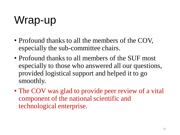# Wrap-up

- Profound thanks to all the members of the COV, especially the sub-committee chairs.
- Profound thanks to all members of the SUF most especially to those who answered all our questions, provided logistical support and helped it to go smoothly.
- The COV was glad to provide peer review of a vital component of the national scientific and technological enterprise.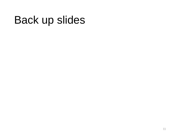#### Back up slides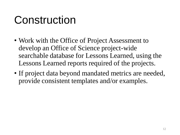#### Construction

- Work with the Office of Project Assessment to develop an Office of Science project-wide searchable database for Lessons Learned, using the Lessons Learned reports required of the projects.
- If project data beyond mandated metrics are needed, provide consistent templates and/or examples.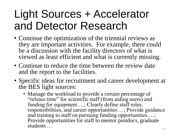#### Light Sources + Accelerator and Detector Research

- Continue the optimization of the triennial reviews as they are important activities. For example, there could be a discussion with the facility directors of what is viewed as least efficient and what is currently missing.
- Continue to reduce the time between the review date and the report to the facilities.
- Specific ideas for recruitment and career development at the BES light sources:
	- Manage the workload to provide a certain percentage of "release time" for scientific staff (from aiding users) and funding for equipment ...; Clearly define staff roles, responsibilities, and career opportunities …; Provide guidance and training to staff on pursuing funding opportunities …; Provide opportunities for staff to mentor postdocs, graduate students …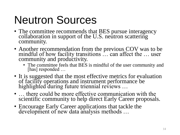## Neutron Sources

- The committee recommends that BES pursue interagency collaboration in support of the U.S. neutron scattering community.
- Another recommendation from the previous COV was to be mindful of how facility transitions … can affect the … user community and productivity.
	- The committee feels that BES is mindful of the user community and [has] responded ...
- It is suggested that the most effective metrics for evaluation of facility operations and instrument performance be highlighted during future triennial reviews …
- ... there could be more effective communication with the scientific community to help direct Early Career proposals.
- Encourage Early Career applications that tackle the development of new data analysis methods …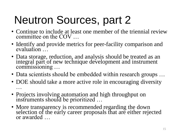# Neutron Sources, part 2

- Continue to include at least one member of the triennial review committee on the COV …
- Identify and provide metrics for peer-facility comparison and evaluation …
- Data storage, reduction, and analysis should be treated as an integral part of new technique development and instrument commissioning …
- Data scientists should be embedded within research groups ...
- DOE should take a more active role in encouraging diversity …
- Projects involving automation and high throughput on instruments should be prioritized …
- More transparency is recommended regarding the down selection of the early career proposals that are either rejected or awarded …